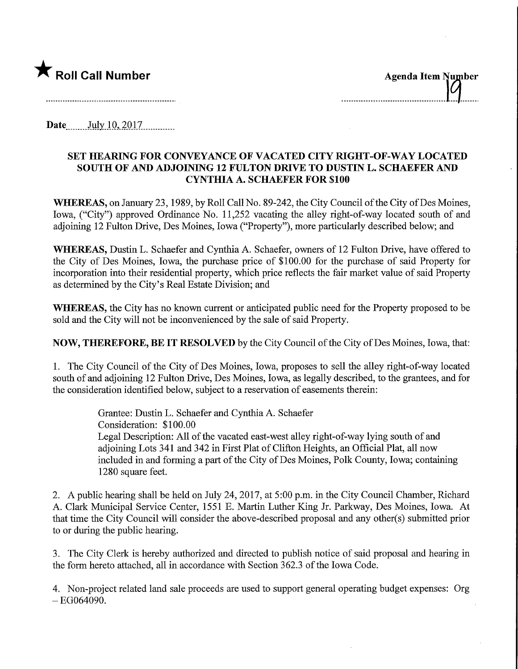

...................................

Date July 10, 2017

## SET HEARING FOR CONVEYANCE OF VACATED CITY RIGHT-OF-WAY LOCATED SOUTH OF AND ADJOINING 12 FULTON DRIVE TO DUSTIN L. SCHAEFER AND CYNTHIA A. SCHAEFER FOR \$100

WHEREAS, on January 23, 1989, by Roll Call No. 89-242, the City Council of the City of Des Moines, Iowa, ("City") approved Ordinance No. 11,252 vacating the alley right-of-way located south of and adjoining 12 Fulton Drive, Des Moines, Iowa ("Property"), more particularly described below; and

WHEREAS, Dustin L. Schaefer and Cynthia A. Schaefer, owners of 12 Fulton Drive, have offered to the City of Des Moines, Iowa, the purchase price of \$100.00 for the purchase of said Property for incorporation into their residential property, which price reflects the fair market value of said Property as determined by the City's Real Estate Division; and

WHEREAS, the City has no known current or anticipated public need for the Property proposed to be sold and the City will not be inconvenienced by the sale of said Property.

NOW, THEREFORE, BE IT RESOLVED by the City Council of the City ofDes Moines, Iowa, that:

1. The City Council of the City of Des Moines, Iowa, proposes to sell the alley right-of-way located south of and adjoining 12 Fulton Drive, Des Moines, Iowa, as legally described, to the grantees, and for the consideration identified below, subject to a reservation of easements therein:

> Grantee: Dustin L. Schaefer and Cynthia A. Schaefer Consideration: \$100.00 Legal Description: All of the vacated east-west alley right-of-way lying south of and adjoining Lots 341 and 342 in First Plat of Clifton Heights, an Official Plat, all now included in and forming a part of the City of Des Moines, Polk County, Iowa; containing 1280 square feet.

2. A public hearing shall be held on July 24, 2017, at 5:00 p.m. in the City Council Chamber, Richard A. Clark Municipal Service Center, 1551 E. Martin Luther King Jr. Parkway, Des Moines, Iowa. At that time the City Council will consider the above-described proposal and any other(s) submitted prior to or during the public hearing.

3. The City Clerk is hereby authorized and directed to publish notice of said proposal and hearing in the form hereto attached, all in accordance with Section 362.3 of the Iowa Code.

4. Non-project related land sale proceeds are used to support general operating budget expenses: Org  $-EG064090.$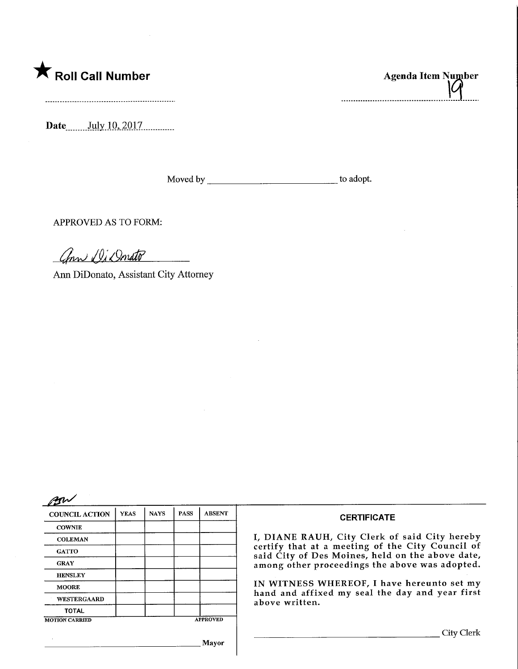## **The Soli Call Number Agenda Item Number** Agenda Item Number

Date.\_..July.lp,2Q17.

Moved by to adopt.

APPROVED AS TO FORM:

ann Di Donato

Ami DiDonato, Assistant City Attorney

| <b>COUNCIL ACTION</b> | <b>YEAS</b> | <b>NAYS</b> | <b>PASS</b> | <b>ABSENT</b>   | <b>CERTIFICATE</b>                                                                                                                                                                                                                                                                                                         |  |
|-----------------------|-------------|-------------|-------------|-----------------|----------------------------------------------------------------------------------------------------------------------------------------------------------------------------------------------------------------------------------------------------------------------------------------------------------------------------|--|
| <b>COWNIE</b>         |             |             |             |                 |                                                                                                                                                                                                                                                                                                                            |  |
| <b>COLEMAN</b>        |             |             |             |                 | I, DIANE RAUH, City Clerk of said City hereby<br>certify that at a meeting of the City Council of<br>said City of Des Moines, held on the above date,<br>among other proceedings the above was adopted.<br>IN WITNESS WHEREOF, I have hereunto set my<br>hand and affixed my seal the day and year first<br>above written. |  |
| <b>GATTO</b>          |             |             |             |                 |                                                                                                                                                                                                                                                                                                                            |  |
| <b>GRAY</b>           |             |             |             |                 |                                                                                                                                                                                                                                                                                                                            |  |
| <b>HENSLEY</b>        |             |             |             |                 |                                                                                                                                                                                                                                                                                                                            |  |
| <b>MOORE</b>          |             |             |             |                 |                                                                                                                                                                                                                                                                                                                            |  |
| <b>WESTERGAARD</b>    |             |             |             |                 |                                                                                                                                                                                                                                                                                                                            |  |
| <b>TOTAL</b>          |             |             |             |                 |                                                                                                                                                                                                                                                                                                                            |  |
| <b>MOTION CARRIED</b> |             |             |             | <b>APPROVED</b> |                                                                                                                                                                                                                                                                                                                            |  |
|                       |             |             |             |                 | City Clerk                                                                                                                                                                                                                                                                                                                 |  |
|                       |             |             |             | Mayor           |                                                                                                                                                                                                                                                                                                                            |  |

lИ -----------------------------------

 $\bar{z}$